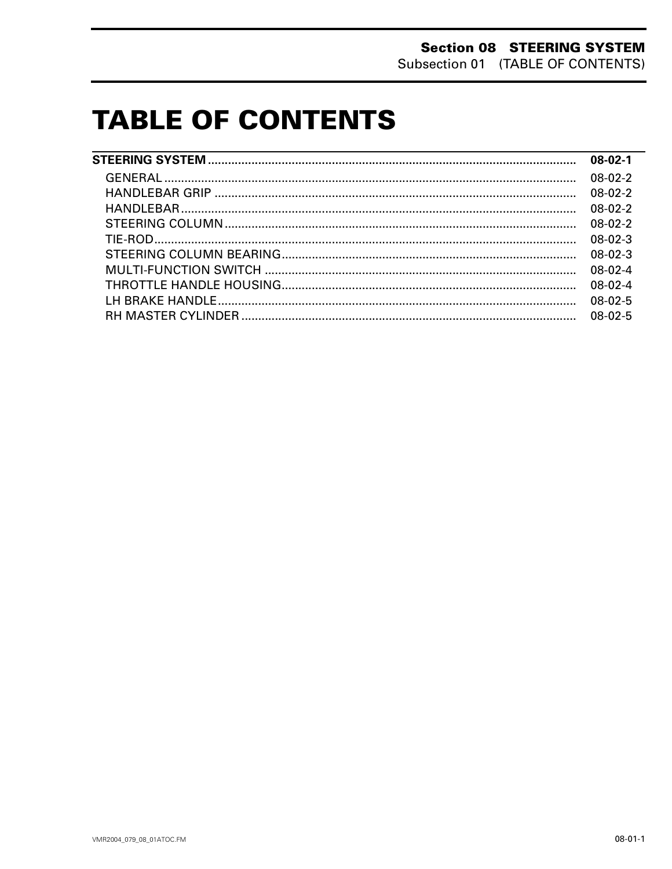# **TABLE OF CONTENTS**

| $08-02-1$ |
|-----------|
| $08-02-2$ |
| $08-02-2$ |
| $08-02-2$ |
| $08-02-2$ |
| $08-02-3$ |
| $08-02-3$ |
| $08-02-4$ |
| $08-02-4$ |
| $08-02-5$ |
| $08-02-5$ |
|           |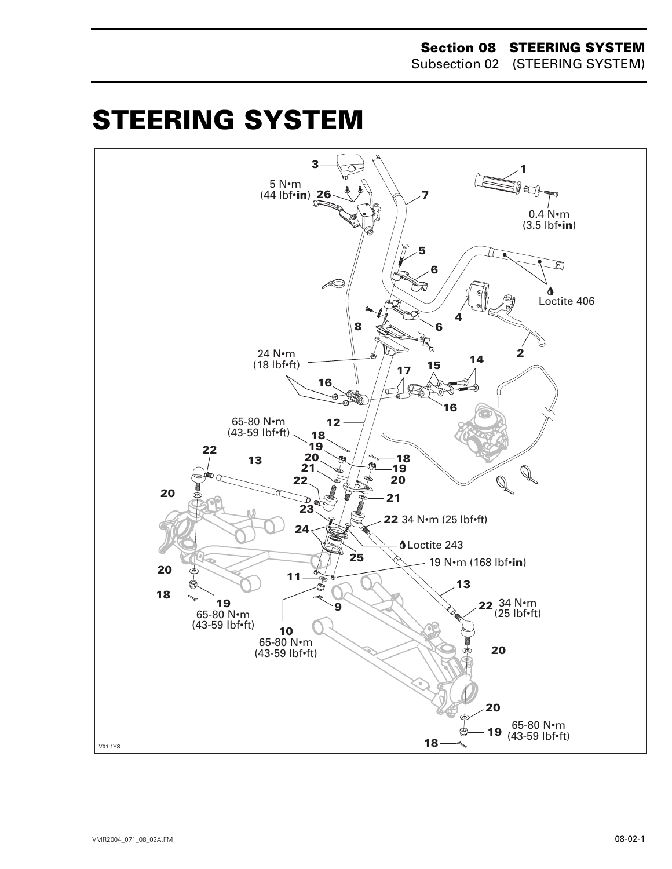#### **Section 08 STEERING SYSTEM** Subsection 02 (STEERING SYSTEM)

# <span id="page-1-0"></span>**STEERING SYSTEM 0**

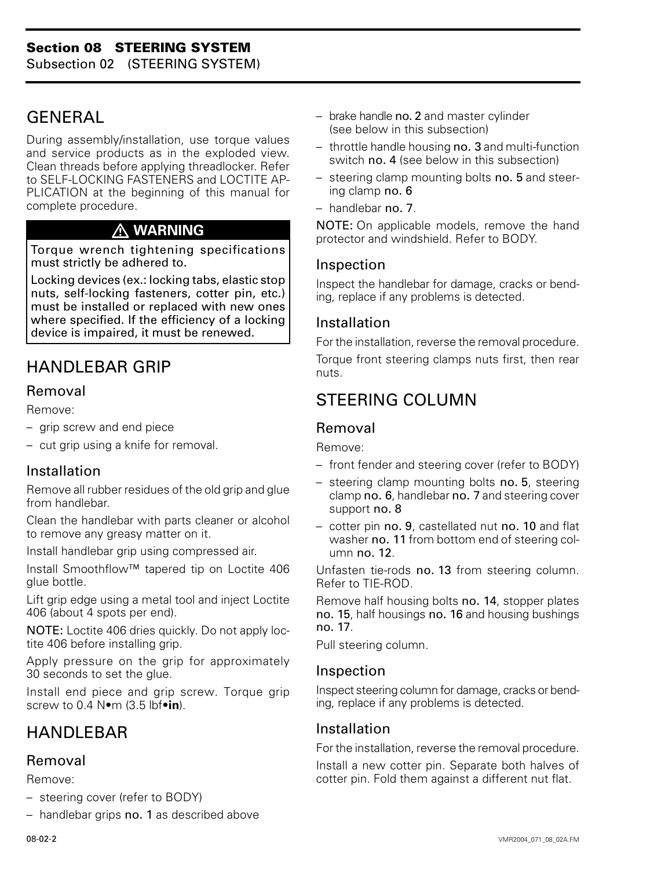## <span id="page-2-0"></span>GENERAL

During assembly/installation, use torque values and service products as in the exploded view. Clean threads before applying threadlocker. Refer to SELF-LOCKING FASTENERS and LOCTITE AP-PLICATION at the beginning of this manual for complete procedure.

### **WARNING**

Torque wrench tightening specifications must strictly be adhered to.

Locking devices (ex.: locking tabs, elastic stop nuts, self-locking fasteners, cotter pin, etc.) must be installed or replaced with new ones where specified. If the efficiency of a locking device is impaired, it must be renewed.

# HANDLEBAR GRIP

### Removal

Remove:

- grip screw and end piece
- cut grip using a knife for removal.

### Installation

Remove all rubber residues of the old grip and glue from handlebar.

Clean the handlebar with parts cleaner or alcohol to remove any greasy matter on it.

Install handlebar grip using compressed air.

Install Smoothflow™ tapered tip on Loctite 406 glue bottle.

Lift grip edge using a metal tool and inject Loctite 406 (about 4 spots per end).

NOTE: Loctite 406 dries quickly. Do not apply loctite 406 before installing grip.

Apply pressure on the grip for approximately 30 seconds to set the glue.

Install end piece and grip screw. Torque grip screw to 0.4 N•m (3.5 lbf•**in**).

# HANDI FRAR

#### Removal

Remove:

- steering cover (refer to BODY)
- handlebar grips no. 1 as described above
- brake handle no. 2 and master cylinder (see below in this subsection)
- throttle handle housing no. 3 and multi-function switch no. 4 (see below in this subsection)
- steering clamp mounting bolts no. 5 and steering clamp no. 6
- handlebar no. 7.

NOTE: On applicable models, remove the hand protector and windshield. Refer to BODY.

### Inspection

Inspect the handlebar for damage, cracks or bending, replace if any problems is detected.

#### Installation

For the installation, reverse the removal procedure. Torque front steering clamps nuts first, then rear nuts.

### STEERING COLUMN

### Removal

Remove:

- front fender and steering cover (refer to BODY)
- steering clamp mounting bolts no. 5, steering clamp no. 6, handlebar no. 7 and steering cover support no. 8
- cotter pin no. 9, castellated nut no. 10 and flat washer no. 11 from bottom end of steering column no. 12.

Unfasten tie-rods no. 13 from steering column. Refer to TIE-ROD.

Remove half housing bolts no. 14, stopper plates no. 15, half housings no. 16 and housing bushings no. 17.

Pull steering column.

#### Inspection

Inspect steering column for damage, cracks or bending, replace if any problems is detected.

### Installation

For the installation, reverse the removal procedure.

Install a new cotter pin. Separate both halves of cotter pin. Fold them against a different nut flat.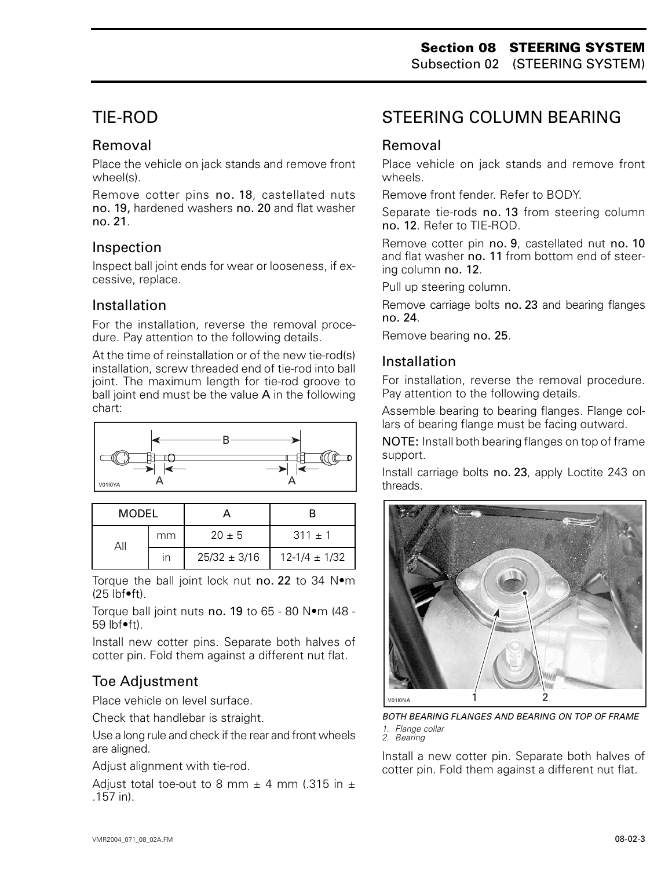# <span id="page-3-0"></span>TIE-ROD

### Removal

Place the vehicle on jack stands and remove front wheel(s).

Remove cotter pins no. 18, castellated nuts no. 19, hardened washers no. 20 and flat washer no. 21.

### Inspection

Inspect ball joint ends for wear or looseness, if excessive, replace.

### Installation

For the installation, reverse the removal procedure. Pay attention to the following details.

At the time of reinstallation or of the new tie-rod(s) installation, screw threaded end of tie-rod into ball joint. The maximum length for tie-rod groove to ball joint end must be the value A in the following chart:



| MODEL |                         |                  |                   |
|-------|-------------------------|------------------|-------------------|
|       | mm                      | $20 \pm 5$       | $311 \pm 1$       |
|       | $\overline{\mathsf{I}}$ | $25/32 \pm 3/16$ | $12-1/4 \pm 1/32$ |

Torque the ball joint lock nut no. 22 to 34 N•m  $(25$  lbf $\bullet$ ft).

Torque ball joint nuts no. 19 to 65 - 80 N•m (48 - 59 lbf•ft).

Install new cotter pins. Separate both halves of cotter pin. Fold them against a different nut flat.

### Toe Adjustment

Place vehicle on level surface.

Check that handlebar is straight.

Use a long rule and check if the rear and front wheels are aligned.

Adjust alignment with tie-rod.

Adjust total toe-out to 8 mm  $\pm$  4 mm (.315 in  $\pm$ .157 in).

# STEERING COLUMN BEARING

### Removal

Place vehicle on jack stands and remove front wheels.

Remove front fender. Refer to BODY.

Separate tie-rods no. 13 from steering column no. 12. Refer to TIE-ROD.

Remove cotter pin no. 9, castellated nut no. 10 and flat washer no. 11 from bottom end of steering column no. 12.

Pull up steering column.

Remove carriage bolts no. 23 and bearing flanges no. 24.

Remove bearing no. 25.

### Installation

For installation, reverse the removal procedure. Pay attention to the following details.

Assemble bearing to bearing flanges. Flange collars of bearing flange must be facing outward.

NOTE: Install both bearing flanges on top of frame support.

Install carriage bolts no. 23, apply Loctite 243 on threads.



*BOTH BEARING FLANGES AND BEARING ON TOP OF FRAME 1. Flange collar 2. Bearing*

Install a new cotter pin. Separate both halves of cotter pin. Fold them against a different nut flat.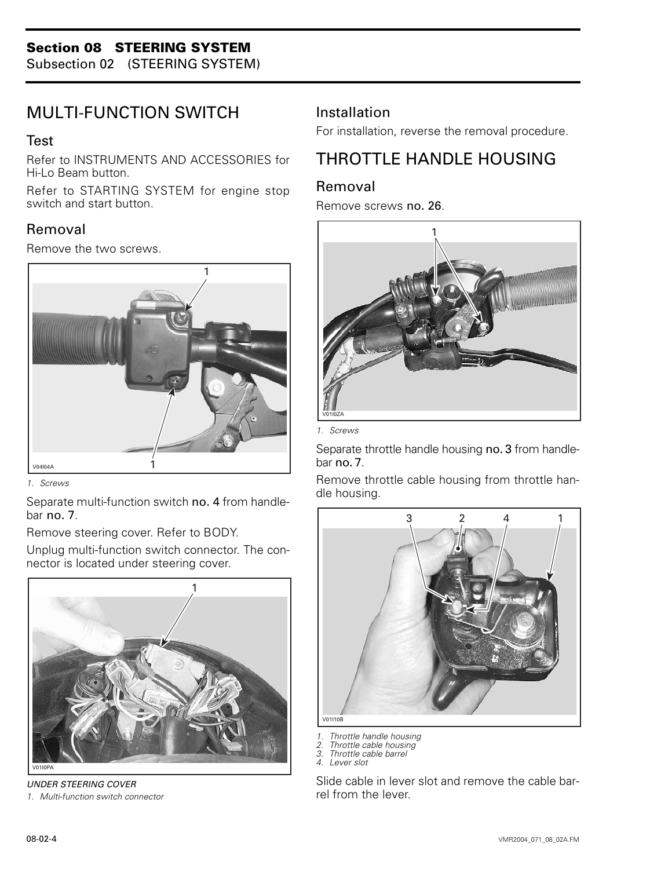<span id="page-4-0"></span>Subsection 02 (STEERING SYSTEM)

### MULTI-FUNCTION SWITCH

#### Test

Refer to INSTRUMENTS AND ACCESSORIES for Hi-Lo Beam button.

Refer to STARTING SYSTEM for engine stop switch and start button.

### Removal

Remove the two screws.



*1. Screws*

Separate multi-function switch no. 4 from handlebar no. 7.

Remove steering cover. Refer to BODY.

Unplug multi-function switch connector. The connector is located under steering cover.



*UNDER STEERING COVER*

*1. Multi-function switch connector*

### Installation

For installation, reverse the removal procedure.

# THROTTLE HANDLE HOUSING

### Removal

Remove screws no. 26.



*1. Screws*

Separate throttle handle housing no. 3 from handlebar no. 7.

Remove throttle cable housing from throttle handle housing.



*1. Throttle handle housing*

- *2. Throttle cable housing*
- *3. Throttle cable barrel*
- *4. Lever slot*

Slide cable in lever slot and remove the cable barrel from the lever.